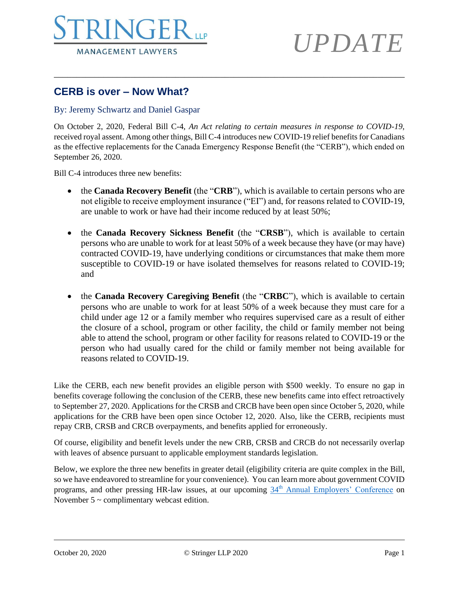

# *UPDATE*

### **CERB is over – Now What?**

#### By: Jeremy Schwartz and Daniel Gaspar

On October 2, 2020, Federal Bill C-4, *An Act relating to certain measures in response to COVID-19*, received royal assent. Among other things, Bill C-4 introduces new COVID-19 relief benefits for Canadians as the effective replacements for the Canada Emergency Response Benefit (the "CERB"), which ended on September 26, 2020.

\_\_\_\_\_\_\_\_\_\_\_\_\_\_\_\_\_\_\_\_\_\_\_\_\_\_\_\_\_\_\_\_\_\_\_\_\_\_\_\_\_\_\_\_\_\_\_\_\_\_\_\_\_\_\_\_\_\_\_\_\_\_\_\_\_\_\_\_\_\_\_\_\_\_\_\_\_\_

Bill C-4 introduces three new benefits:

- the **Canada Recovery Benefit** (the "**CRB**"), which is available to certain persons who are not eligible to receive employment insurance ("EI") and, for reasons related to COVID-19, are unable to work or have had their income reduced by at least 50%;
- the **Canada Recovery Sickness Benefit** (the "**CRSB**"), which is available to certain persons who are unable to work for at least 50% of a week because they have (or may have) contracted COVID-19, have underlying conditions or circumstances that make them more susceptible to COVID-19 or have isolated themselves for reasons related to COVID-19; and
- the **Canada Recovery Caregiving Benefit** (the "**CRBC**"), which is available to certain persons who are unable to work for at least 50% of a week because they must care for a child under age 12 or a family member who requires supervised care as a result of either the closure of a school, program or other facility, the child or family member not being able to attend the school, program or other facility for reasons related to COVID-19 or the person who had usually cared for the child or family member not being available for reasons related to COVID-19.

Like the CERB, each new benefit provides an eligible person with \$500 weekly. To ensure no gap in benefits coverage following the conclusion of the CERB, these new benefits came into effect retroactively to September 27, 2020. Applications for the CRSB and CRCB have been open since October 5, 2020, while applications for the CRB have been open since October 12, 2020. Also, like the CERB, recipients must repay CRB, CRSB and CRCB overpayments, and benefits applied for erroneously.

Of course, eligibility and benefit levels under the new CRB, CRSB and CRCB do not necessarily overlap with leaves of absence pursuant to applicable employment standards legislation.

Below, we explore the three new benefits in greater detail (eligibility criteria are quite complex in the Bill, so we have endeavored to streamline for your convenience). You can learn more about government COVID programs, and other pressing HR-law issues, at our upcoming 34<sup>th</sup> [Annual Employers' Conference](https://www.stringerllp.com/seminars-events/34th-annual-employers-conference-webcast-edition) on November 5 ~ complimentary webcast edition.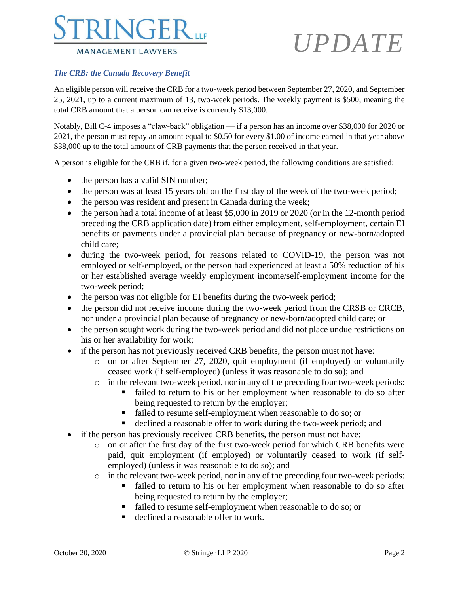### **NGE MANAGEMENT LAWYERS**

# *UPDATE*

#### *The CRB: the Canada Recovery Benefit*

An eligible person will receive the CRB for a two-week period between September 27, 2020, and September 25, 2021, up to a current maximum of 13, two-week periods. The weekly payment is \$500, meaning the total CRB amount that a person can receive is currently \$13,000.

Notably, Bill C-4 imposes a "claw-back" obligation — if a person has an income over \$38,000 for 2020 or 2021, the person must repay an amount equal to \$0.50 for every \$1.00 of income earned in that year above \$38,000 up to the total amount of CRB payments that the person received in that year.

A person is eligible for the CRB if, for a given two-week period, the following conditions are satisfied:

- the person has a valid SIN number;
- the person was at least 15 years old on the first day of the week of the two-week period;
- the person was resident and present in Canada during the week;
- the person had a total income of at least \$5,000 in 2019 or 2020 (or in the 12-month period preceding the CRB application date) from either employment, self-employment, certain EI benefits or payments under a provincial plan because of pregnancy or new-born/adopted child care;
- during the two-week period, for reasons related to COVID-19, the person was not employed or self-employed, or the person had experienced at least a 50% reduction of his or her established average weekly employment income/self-employment income for the two-week period;
- the person was not eligible for EI benefits during the two-week period;
- the person did not receive income during the two-week period from the CRSB or CRCB, nor under a provincial plan because of pregnancy or new-born/adopted child care; or
- the person sought work during the two-week period and did not place undue restrictions on his or her availability for work;
- if the person has not previously received CRB benefits, the person must not have:
	- o on or after September 27, 2020, quit employment (if employed) or voluntarily ceased work (if self-employed) (unless it was reasonable to do so); and
	- o in the relevant two-week period, nor in any of the preceding four two-week periods:
		- failed to return to his or her employment when reasonable to do so after being requested to return by the employer;
		- failed to resume self-employment when reasonable to do so; or
		- declined a reasonable offer to work during the two-week period; and
- if the person has previously received CRB benefits, the person must not have:
	- o on or after the first day of the first two-week period for which CRB benefits were paid, quit employment (if employed) or voluntarily ceased to work (if selfemployed) (unless it was reasonable to do so); and
	- o in the relevant two-week period, nor in any of the preceding four two-week periods:
		- failed to return to his or her employment when reasonable to do so after being requested to return by the employer;
		- failed to resume self-employment when reasonable to do so; or
		- declined a reasonable offer to work.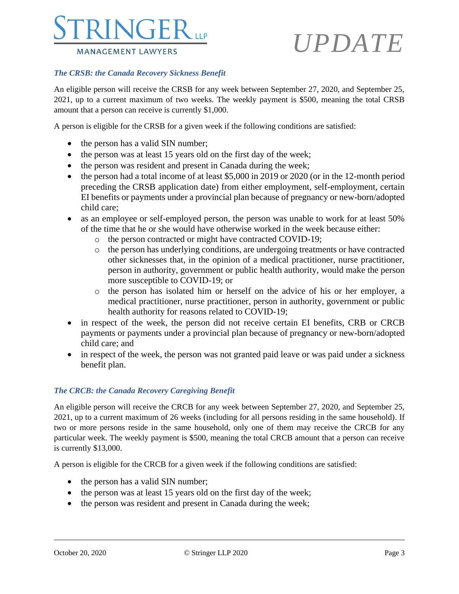

# *UPDATE*

### *The CRSB: the Canada Recovery Sickness Benefit*

An eligible person will receive the CRSB for any week between September 27, 2020, and September 25, 2021, up to a current maximum of two weeks. The weekly payment is \$500, meaning the total CRSB amount that a person can receive is currently \$1,000.

A person is eligible for the CRSB for a given week if the following conditions are satisfied:

- the person has a valid SIN number;
- the person was at least 15 years old on the first day of the week;
- the person was resident and present in Canada during the week;
- the person had a total income of at least \$5,000 in 2019 or 2020 (or in the 12-month period preceding the CRSB application date) from either employment, self-employment, certain EI benefits or payments under a provincial plan because of pregnancy or new-born/adopted child care;
- as an employee or self-employed person, the person was unable to work for at least 50% of the time that he or she would have otherwise worked in the week because either:
	- o the person contracted or might have contracted COVID-19;
	- o the person has underlying conditions, are undergoing treatments or have contracted other sicknesses that, in the opinion of a medical practitioner, nurse practitioner, person in authority, government or public health authority, would make the person more susceptible to COVID-19; or
	- o the person has isolated him or herself on the advice of his or her employer, a medical practitioner, nurse practitioner, person in authority, government or public health authority for reasons related to COVID-19;
- in respect of the week, the person did not receive certain EI benefits, CRB or CRCB payments or payments under a provincial plan because of pregnancy or new-born/adopted child care; and
- in respect of the week, the person was not granted paid leave or was paid under a sickness benefit plan.

#### *The CRCB: the Canada Recovery Caregiving Benefit*

An eligible person will receive the CRCB for any week between September 27, 2020, and September 25, 2021, up to a current maximum of 26 weeks (including for all persons residing in the same household). If two or more persons reside in the same household, only one of them may receive the CRCB for any particular week. The weekly payment is \$500, meaning the total CRCB amount that a person can receive is currently \$13,000.

A person is eligible for the CRCB for a given week if the following conditions are satisfied:

- the person has a valid SIN number;
- the person was at least 15 years old on the first day of the week;
- the person was resident and present in Canada during the week;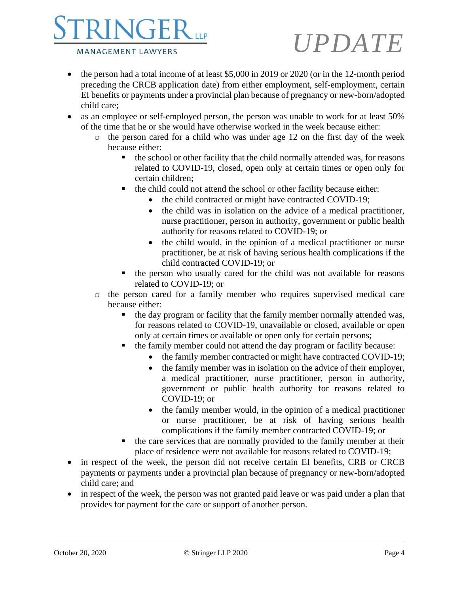

# *UPDATE*

- the person had a total income of at least \$5,000 in 2019 or 2020 (or in the 12-month period preceding the CRCB application date) from either employment, self-employment, certain EI benefits or payments under a provincial plan because of pregnancy or new-born/adopted child care;
- as an employee or self-employed person, the person was unable to work for at least 50% of the time that he or she would have otherwise worked in the week because either:
	- o the person cared for a child who was under age 12 on the first day of the week because either:
		- the school or other facility that the child normally attended was, for reasons related to COVID-19, closed, open only at certain times or open only for certain children;
		- the child could not attend the school or other facility because either:
			- the child contracted or might have contracted COVID-19;
			- the child was in isolation on the advice of a medical practitioner, nurse practitioner, person in authority, government or public health authority for reasons related to COVID-19; or
			- the child would, in the opinion of a medical practitioner or nurse practitioner, be at risk of having serious health complications if the child contracted COVID-19; or
		- the person who usually cared for the child was not available for reasons related to COVID-19; or
	- o the person cared for a family member who requires supervised medical care because either:
		- the day program or facility that the family member normally attended was, for reasons related to COVID-19, unavailable or closed, available or open only at certain times or available or open only for certain persons;
		- the family member could not attend the day program or facility because:
			- the family member contracted or might have contracted COVID-19;
			- the family member was in isolation on the advice of their employer, a medical practitioner, nurse practitioner, person in authority, government or public health authority for reasons related to COVID-19; or
			- the family member would, in the opinion of a medical practitioner or nurse practitioner, be at risk of having serious health complications if the family member contracted COVID-19; or
		- the care services that are normally provided to the family member at their place of residence were not available for reasons related to COVID-19;
- in respect of the week, the person did not receive certain EI benefits, CRB or CRCB payments or payments under a provincial plan because of pregnancy or new-born/adopted child care; and
- in respect of the week, the person was not granted paid leave or was paid under a plan that provides for payment for the care or support of another person.